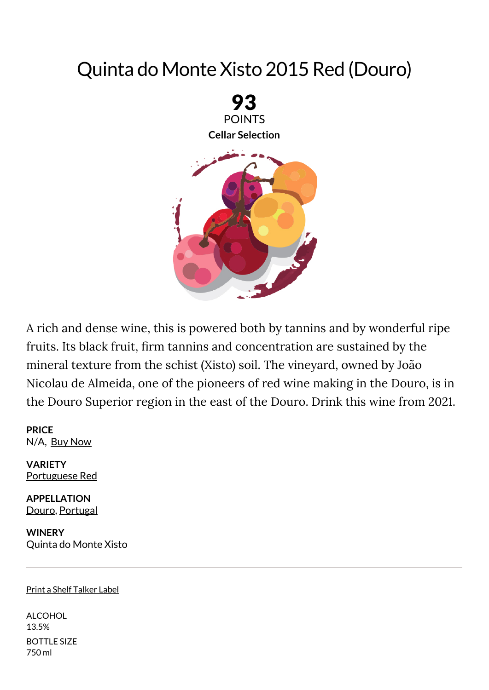## Quinta do Monte Xisto 2015 Red (Douro)



A rich and dense wine, this is powered both by tannins and by wonderful ripe fruits. Its black fruit, firm tannins and concentration are sustained by the mineral texture from the schist (Xisto) soil. The vineyard, owned by João Nicolau de Almeida, one of the pioneers of red wine making in the Douro, is in the Douro Superior region in the east of the Douro. Drink this wine from 2021.

**PRICE** N/A, Buy [Now](http://www.wine-searcher.com/find/quinta+do+monte+xisto+douro+portuguese+red/2015/USA/USD/?referring_site=WEM)

**VARIETY** [Portuguese](https://www.winemag.com/?s=Portuguese%20Red) Red

**APPELLATION** [Douro](https://www.winemag.com/?s=Douro), [Portugal](https://www.winemag.com/?s=Portugal)

**WINERY** [Quinta](https://www.winemag.com/?s=Quinta%20do%20Monte%20Xisto) do Monte Xisto

## Print a Shelf Talker Label

ALCOHOL 13.5% BOTTLE SIZE 750 ml